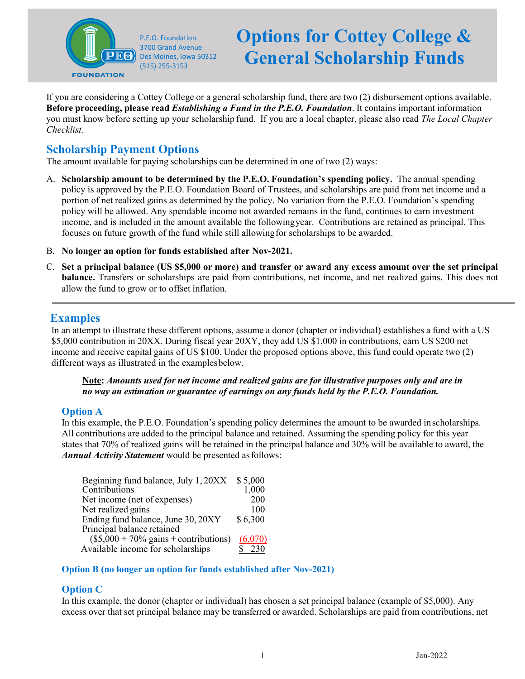

# **Options for Cottey College & General Scholarship Funds**

If you are considering a Cottey College or a general scholarship fund, there are two (2) disbursement options available. **Before proceeding, please read** *Establishing a Fund in the P.E.O. Foundation*. It contains important information you must know before setting up your scholarship fund. If you are a local chapter, please also read *The Local Chapter Checklist.*

## **Scholarship Payment Options**

The amount available for paying scholarships can be determined in one of two (2) ways:

- A. **Scholarship amount to be determined by the P.E.O. Foundation's spending policy.** The annual spending policy is approved by the P.E.O. Foundation Board of Trustees, and scholarships are paid from net income and a portion of net realized gains as determined by the policy. No variation from the P.E.O. Foundation's spending policy will be allowed. Any spendable income not awarded remains in the fund, continues to earn investment income, and is included in the amount available the followingyear. Contributions are retained as principal. This focuses on future growth of the fund while still allowingfor scholarships to be awarded.
- B. **No longer an option for funds established after Nov-2021.**
- C. **Set a principal balance (US \$5,000 or more) and transfer or award any excess amount over the set principal balance.** Transfers or scholarships are paid from contributions, net income, and net realized gains. This does not allow the fund to grow or to offset inflation.

## **Examples**

In an attempt to illustrate these different options, assume a donor (chapter or individual) establishes a fund with a US \$5,000 contribution in 20XX. During fiscal year 20XY, they add US \$1,000 in contributions, earn US \$200 net income and receive capital gains of US \$100. Under the proposed options above, this fund could operate two (2) different ways as illustrated in the examplesbelow.

**Note:** *Amounts used for net income and realized gains are for illustrative purposes only and are in no way an estimation or guarantee of earnings on any funds held by the P.E.O. Foundation.*

## **Option A**

In this example, the P.E.O. Foundation's spending policy determines the amount to be awarded inscholarships. All contributions are added to the principal balance and retained. Assuming the spending policy for this year states that 70% of realized gains will be retained in the principal balance and 30% will be available to award, the *Annual Activity Statement* would be presented asfollows:

| Beginning fund balance, July 1, 20XX                   | \$5,000 |
|--------------------------------------------------------|---------|
| Contributions                                          | 1,000   |
| Net income (net of expenses)                           | 200     |
| Net realized gains                                     | 100     |
| Ending fund balance, June 30, 20XY                     | \$6,300 |
| Principal balance retained                             |         |
| $($5,000 + 70\% \text{ gains} + \text{contributions})$ | (6,070) |
| Available income for scholarships                      | 230     |

#### **Option B (no longer an option for funds established after Nov-2021)**

## **Option C**

In this example, the donor (chapter or individual) has chosen a set principal balance (example of \$5,000). Any excess over that set principal balance may be transferred or awarded. Scholarships are paid from contributions, net